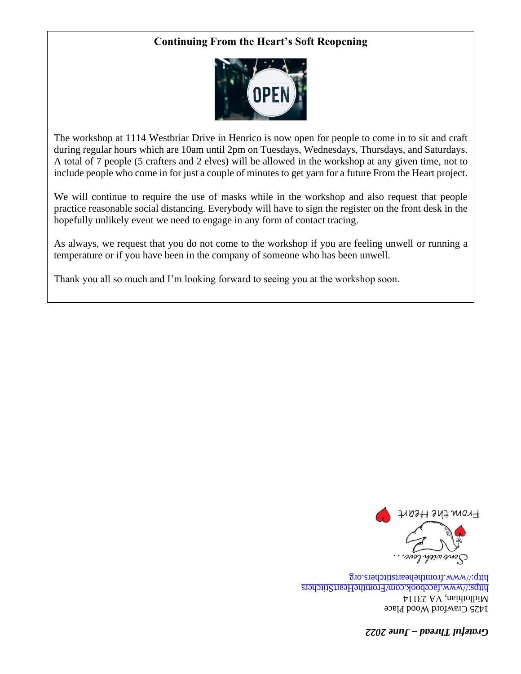# **Continuing From the Heart's Soft Reopening**



The workshop at 1114 Westbriar Drive in Henrico is now open for people to come in to sit and craft during regular hours which are 10am until 2pm on Tuesdays, Wednesdays, Thursdays, and Saturdays. A total of 7 people (5 crafters and 2 elves) will be allowed in the workshop at any given time, not to include people who come in for just a couple of minutes to get yarn for a future From the Heart project.

We will continue to require the use of masks while in the workshop and also request that people practice reasonable social distancing. Everybody will have to sign the register on the front desk in the hopefully unlikely event we need to engage in any form of contact tracing.

As always, we request that you do not come to the workshop if you are feeling unwell or running a temperature or if you have been in the company of someone who has been unwell.

Thank you all so much and I'm looking forward to seeing you at the workshop soon.



1425 Crawford Wood Place A1dlothian, VA 23114 https://www.facebook.com/FromtheHeartStitchers http://www.fromtheheartstitchers.org

*[June 2022](http://www.fromtheheartstitchers.org/) – Grate[f](https://www.facebook.com/FromtheHeartStitchers)ul Thread*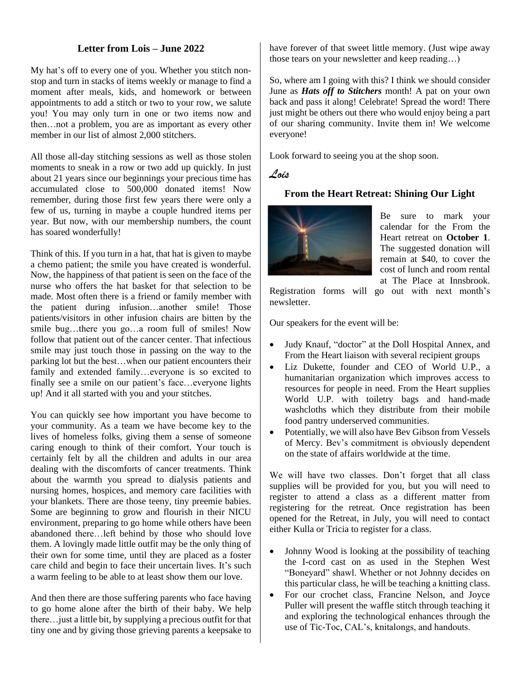### **Letter from Lois – June 2022**

My hat 's off to every one of you. Whether you stitch nonstop and turn in stacks of items weekly or manage to find a moment after meals, kids, and homework or between appointments to add a stitch or two to your row, we salute you! You may only turn in one or two items now and then…not a problem, you are as important as every other member in our list of almost 2,000 stitchers.

All those all-day stitching sessions as well as those stolen moments to sneak in a row or two add up quickly. In just about 21 years since our beginnings your precious time has accumulated close to 500,000 donated items! Now remember, during those first few years there were only a few of us, turning in maybe a couple hundred items per year. But now, with our membership numbers, the count has soared wonderfully!

Think of this. If you turn in a hat, that hat is given to maybe a chemo patient; the smile you have created is wonderful. Now, the happiness of that patient is seen on the face of the nurse who offers the hat basket for that selection to be made. Most often there is a friend or family member with the patient during infusion…another smile! Those patients/visitors in other infusion chairs are bitten by the smile bug…there you go…a room full of smiles! Now follow that patient out of the cancer center. That infectious smile may just touch those in passing on the way to the parking lot but the best…when our patient encounters their family and extended family…everyone is so excited to finally see a smile on our patient's face…everyone lights up! And it all started with you and your stitches.

You can quickly see how important you have become to your community. As a team we have become key to the lives of homeless folks, giving them a sense of someone caring enough to think of their comfort. Your touch is certainly felt by all the children and adults in our area dealing with the discomforts of cancer treatments. Think about the warmth you spread to dialysis patients and nursing homes, hospices, and memory care facilities with your blankets. There are those teeny, tiny preemie babies. Some are beginning to grow and flourish in their NICU environment, preparing to go home while others have been abandoned there…left behind by those who should love them. A lovingly made little outfit may be the only thing of their own for some time, until they are placed as a foster care child and begin to face their uncertain lives. It's such a warm feeling to be able to at least show them our love.

And then there are those suffering parents who face having to go home alone after the birth of their baby. We help there…just a little bit, by supplying a precious outfit for that tiny one and by giving those grieving parents a keepsake to have forever of that sweet little memory. (Just wipe away those tears on your newsletter and keep reading…)

So, where am I going with this? I think we should consider June as *Hats off to Stitchers* month! A pat on your own back and pass it along! Celebrate! Spread the word! There just might be others out there who would enjoy being a part of our sharing community. Invite them in! We welcome everyone!

Look forward to seeing you at the shop soon.

### *Lois*

# **From the Heart Retreat: Shining Our Light**



Be sure to mark your calendar for the From the Heart retreat on **October 1**. The suggested donation will remain at \$40, to cover the cost of lunch and room rental at The Place at Innsbrook.

Registration forms will go out with next month's newsletter.

Our speakers for the event will be:

- Judy Knauf, "doctor" at the Doll Hospital Annex, and From the Heart liaison with several recipient groups
- Liz Dukette, founder and CEO of World U.P., a humanitarian organization which improves access to resources for people in need. From the Heart supplies World U.P. with toiletry bags and hand-made washcloths which they distribute from their mobile food pantry underserved communities.
- Potentially, we will also have Bev Gibson from Vessels of Mercy. Bev's commitment is obviously dependent on the state of affairs worldwide at the time.

We will have two classes. Don't forget that all class supplies will be provided for you, but you will need to register to attend a class as a different matter from registering for the retreat. Once registration has been opened for the Retreat, in July, you will need to contact either Kulla or Tricia to register for a class.

- Johnny Wood is looking at the possibility of teaching the I-cord cast on as used in the Stephen West "Boneyard" shawl. Whether or not Johnny decides on this particular class, he will be teaching a knitting class.
- For our crochet class, Francine Nelson, and Joyce Puller will present the waffle stitch through teaching it and exploring the technological enhances through the use of Tic-Toc, CAL's, knitalongs, and handouts.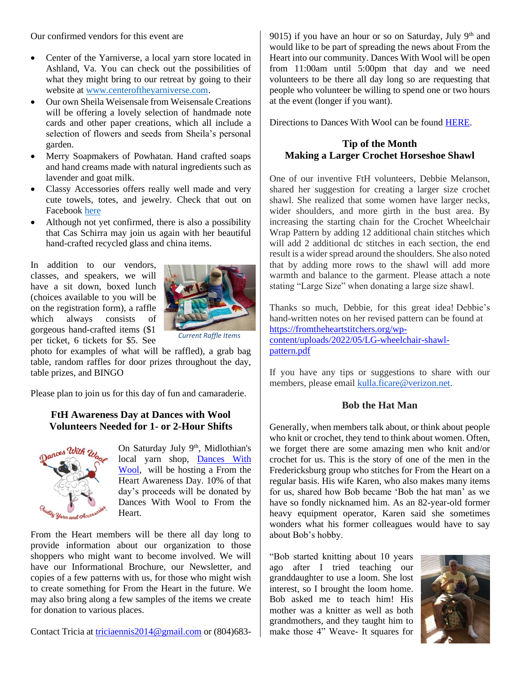Our confirmed vendors for this event are

- Center of the Yarniverse, a local yarn store located in Ashland, Va. You can check out the possibilities of what they might bring to our retreat by going to their website at [www.centeroftheyarniverse.com.](https://www.centeroftheyarniverse.com/)
- Our own Sheila Weisensale from Weisensale Creations will be offering a lovely selection of handmade note cards and other paper creations, which all include a selection of flowers and seeds from Sheila's personal garden.
- Merry Soapmakers of Powhatan. Hand crafted soaps and hand creams made with natural ingredients such as lavender and goat milk.
- Classy Accessories offers really well made and very cute towels, totes, and jewelry. Check that out on Facebook [here](https://www.facebook.com/ClassyAccessoriesRVA)
- Although not yet confirmed, there is also a possibility that Cas Schirra may join us again with her beautiful hand-crafted recycled glass and china items.

In addition to our vendors, classes, and speakers, we will have a sit down, boxed lunch (choices available to you will be on the registration form), a raffle which always consists of gorgeous hand-crafted items (\$1 per ticket, 6 tickets for \$5. See



*Current Raffle Items*

photo for examples of what will be raffled), a grab bag table, random raffles for door prizes throughout the day, table prizes, and BINGO

Please plan to join us for this day of fun and camaraderie.

## **FtH Awareness Day at Dances with Wool Volunteers Needed for 1- or 2-Hour Shifts**



On Saturday July 9<sup>th</sup>, Midlothian's local yarn shop, [Dances With](https://www.danceswithwoolrva.com/)  [Wool,](https://www.danceswithwoolrva.com/) will be hosting a From the Heart Awareness Day. 10% of that day's proceeds will be donated by Dances With Wool to From the Heart.

From the Heart members will be there all day long to provide information about our organization to those shoppers who might want to become involved. We will have our Informational Brochure, our Newsletter, and copies of a few patterns with us, for those who might wish to create something for From the Heart in the future. We may also bring along a few samples of the items we create for donation to various places.

Contact Tricia at [triciaennis2014@gmail.com](mailto:triciaennis2014@gmail.com) or (804)683-

9015) if you have an hour or so on Saturday, July  $9<sup>th</sup>$  and would like to be part of spreading the news about From the Heart into our community. Dances With Wool will be open from 11:00am until 5:00pm that day and we need volunteers to be there all day long so are requesting that people who volunteer be willing to spend one or two hours at the event (longer if you want).

Directions to Dances With Wool can be found [HERE.](https://www.google.com/maps/dir/Dances+With+Wool,+1229+Sycamore+Square,+23113+Midlothian/@37.4868379,-77.6772832,14z/data=!4m8!4m7!1m0!1m5!1m1!1s0x89b16dfdb86c491d:0x595afb2e3eacf066!2m2!1d-77.6523894!2d37.5046442)

### **Tip of the Month Making a Larger Crochet Horseshoe Shawl**

One of our inventive FtH volunteers, Debbie Melanson, shared her suggestion for creating a larger size crochet shawl. She realized that some women have larger necks, wider shoulders, and more girth in the bust area. By increasing the starting chain for the Crochet Wheelchair Wrap Pattern by adding 12 additional chain stitches which will add 2 additional dc stitches in each section, the end result is a wider spread around the shoulders. She also noted that by adding more rows to the shawl will add more warmth and balance to the garment. Please attach a note stating "Large Size" when donating a large size shawl.

Thanks so much, Debbie, for this great idea! Debbie's hand-written notes on her revised pattern can be found at [https://fromtheheartstitchers.org/wp](https://fromtheheartstitchers.org/wp-content/uploads/2022/05/LG-wheelchair-shawl-pattern.pdf)[content/uploads/2022/05/LG-wheelchair-shawl](https://fromtheheartstitchers.org/wp-content/uploads/2022/05/LG-wheelchair-shawl-pattern.pdf)[pattern.pdf](https://fromtheheartstitchers.org/wp-content/uploads/2022/05/LG-wheelchair-shawl-pattern.pdf)

If you have any tips or suggestions to share with our members, please email [kulla.ficare@verizon.net.](mailto:kulla.ficare@verizon.net)

#### **Bob the Hat Man**

Generally, when members talk about, or think about people who knit or crochet, they tend to think about women. Often, we forget there are some amazing men who knit and/or crochet for us. This is the story of one of the men in the Fredericksburg group who stitches for From the Heart on a regular basis. His wife Karen, who also makes many items for us, shared how Bob became 'Bob the hat man' as we have so fondly nicknamed him. As an 82-year-old former heavy equipment operator, Karen said she sometimes wonders what his former colleagues would have to say about Bob's hobby.

"Bob started knitting about 10 years ago after I tried teaching our granddaughter to use a loom. She lost interest, so I brought the loom home. Bob asked me to teach him! His mother was a knitter as well as both grandmothers, and they taught him to make those 4" Weave- It squares for

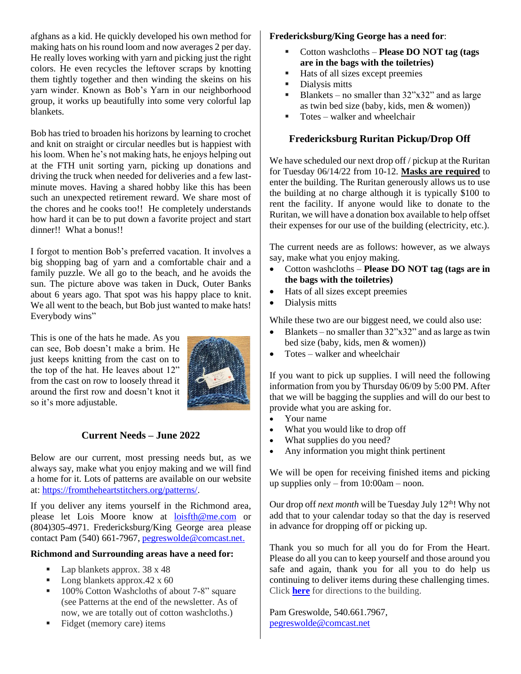afghans as a kid. He quickly developed his own method for making hats on his round loom and now averages 2 per day. He really loves working with yarn and picking just the right colors. He even recycles the leftover scraps by knotting them tightly together and then winding the skeins on his yarn winder. Known as Bob's Yarn in our neighborhood group, it works up beautifully into some very colorful lap blankets.

Bob has tried to broaden his horizons by learning to crochet and knit on straight or circular needles but is happiest with his loom. When he's not making hats, he enjoys helping out at the FTH unit sorting yarn, picking up donations and driving the truck when needed for deliveries and a few lastminute moves. Having a shared hobby like this has been such an unexpected retirement reward. We share most of the chores and he cooks too!! He completely understands how hard it can be to put down a favorite project and start dinner!! What a bonus!!

I forgot to mention Bob's preferred vacation. It involves a big shopping bag of yarn and a comfortable chair and a family puzzle. We all go to the beach, and he avoids the sun. The picture above was taken in Duck, Outer Banks about 6 years ago. That spot was his happy place to knit. We all went to the beach, but Bob just wanted to make hats! Everybody wins"

This is one of the hats he made. As you can see, Bob doesn't make a brim. He just keeps knitting from the cast on to the top of the hat. He leaves about 12" from the cast on row to loosely thread it around the first row and doesn't knot it so it's more adjustable.



# **Current Needs – June 2022**

Below are our current, most pressing needs but, as we always say, make what you enjoy making and we will find a home for it. Lots of patterns are available on our website at[: https://fromtheheartstitchers.org/patterns/.](https://fromtheheartstitchers.org/patterns/)

If you deliver any items yourself in the Richmond area, please let Lois Moore know at [loisfth@me.com](mailto:loisfth@me.com) or (804)305-4971. Fredericksburg/King George area please contact Pam (540) 661-7967, [pegreswolde@comcast.net.](mailto:pegreswolde@comcast.net)

#### **Richmond and Surrounding areas have a need for:**

- Lap blankets approx.  $38 \times 48$
- Long blankets approx.42  $x$  60
- 100% Cotton Washcloths of about 7-8" square (see Patterns at the end of the newsletter. As of now, we are totally out of cotton washcloths.)
- Fidget (memory care) items

### **Fredericksburg/King George has a need for**:

- Cotton washcloths **Please DO NOT tag (tags are in the bags with the toiletries)**
- Hats of all sizes except preemies
- Dialysis mitts
- **•** Blankets no smaller than  $32$ "x32" and as large as twin bed size (baby, kids, men & women))
- $\blacksquare$  Totes walker and wheelchair

## **Fredericksburg Ruritan Pickup/Drop Off**

We have scheduled our next drop off / pickup at the Ruritan for Tuesday 06/14/22 from 10-12. **Masks are required** to enter the building. The Ruritan generously allows us to use the building at no charge although it is typically \$100 to rent the facility. If anyone would like to donate to the Ruritan, we will have a donation box available to help offset their expenses for our use of the building (electricity, etc.).

The current needs are as follows: however, as we always say, make what you enjoy making.

- Cotton washcloths **Please DO NOT tag (tags are in the bags with the toiletries)**
- Hats of all sizes except preemies
- Dialysis mitts

While these two are our biggest need, we could also use:

- Blankets no smaller than  $32$ "x $32$ " and as large as twin bed size (baby, kids, men & women))
- Totes walker and wheelchair

If you want to pick up supplies. I will need the following information from you by Thursday 06/09 by 5:00 PM. After that we will be bagging the supplies and will do our best to provide what you are asking for.

- Your name
- What you would like to drop off
- What supplies do you need?
- Any information you might think pertinent

We will be open for receiving finished items and picking up supplies only – from 10:00am – noon.

Our drop off *next month* will be Tuesday July 12<sup>th</sup>! Why not add that to your calendar today so that the day is reserved in advance for dropping off or picking up.

Thank you so much for all you do for From the Heart. Please do all you can to keep yourself and those around you safe and again, thank you for all you to do help us continuing to deliver items during these challenging times. Click **[here](https://www.google.com/maps/dir/ruritan+club+fredericksburg+va/@37.8705055,-78.1306847,9z/data=!4m8!4m7!1m0!1m5!1m1!1s0x89b6bf98f801b307:0xa440eb441b18bd2d!2m2!1d-77.582703!2d38.292493)** for directions to the building.

Pam Greswolde, 540.661.7967, [pegreswolde@comcast.net](mailto:pegreswolde@comcast.net)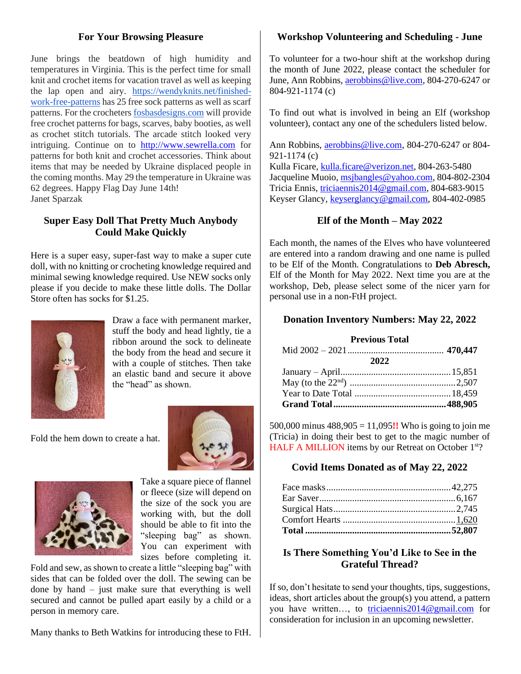## **For Your Browsing Pleasure**

June brings the beatdown of high humidity and temperatures in Virginia. This is the perfect time for small knit and crochet items for vacation travel as well as keeping the lap open and airy. [https://wendyknits.net/finished](https://wendyknits.net/finished-work-free-patterns)[work-free-patterns](https://wendyknits.net/finished-work-free-patterns) has 25 free sock patterns as well as scarf patterns. For the crocheters [fosbasdesigns.com](http://fosbasdesigns.com/) will provide free crochet patterns for bags, scarves, baby booties, as well as crochet stitch tutorials. The arcade stitch looked very intriguing. Continue on to [http://www.sewrella.com](http://www.sewrella.com/) for patterns for both knit and crochet accessories. Think about items that may be needed by Ukraine displaced people in the coming months. May 29 the temperature in Ukraine was 62 degrees. Happy Flag Day June 14th! Janet Sparzak

# **Super Easy Doll That Pretty Much Anybody Could Make Quickly**

Here is a super easy, super-fast way to make a super cute doll, with no knitting or crocheting knowledge required and minimal sewing knowledge required. Use NEW socks only please if you decide to make these little dolls. The Dollar Store often has socks for \$1.25.



Draw a face with permanent marker, stuff the body and head lightly, tie a ribbon around the sock to delineate the body from the head and secure it with a couple of stitches. Then take an elastic band and secure it above the "head" as shown.

Fold the hem down to create a hat.





Take a square piece of flannel or fleece (size will depend on the size of the sock you are working with, but the doll should be able to fit into the "sleeping bag" as shown. You can experiment with sizes before completing it.

Fold and sew, as shown to create a little "sleeping bag" with sides that can be folded over the doll. The sewing can be done by hand – just make sure that everything is well secured and cannot be pulled apart easily by a child or a person in memory care.

Many thanks to Beth Watkins for introducing these to FtH.

# **Workshop Volunteering and Scheduling - June**

To volunteer for a two-hour shift at the workshop during the month of June 2022, please contact the scheduler for June, Ann Robbins[, aerobbins@live.com,](mailto:aerobbins@live.com) 804-270-6247 or 804-921-1174 (c)

To find out what is involved in being an Elf (workshop volunteer), contact any one of the schedulers listed below.

Ann Robbins, [aerobbins@live.com,](mailto:aerobbins@live.com) 804-270-6247 or 804- 921-1174 (c) Kulla Ficare, [kulla.ficare@verizon.net,](mailto:kulla.ficare@verizon.net) 804-263-5480 Jacqueline Muoio, [msjbangles@yahoo.com,](mailto:msjbangles@yahoo.com) 804-802-2304 Tricia Ennis, [triciaennis2014@gmail.com,](mailto:triciaennis2014@gmail.com) 804-683-9015 Keyser Glancy, [keyserglancy@gmail.com,](mailto:keyserglancy@gmail.com) 804-402-0985

## **Elf of the Month – May 2022**

Each month, the names of the Elves who have volunteered are entered into a random drawing and one name is pulled to be Elf of the Month. Congratulations to **Deb Abresch,**  Elf of the Month for May 2022. Next time you are at the workshop, Deb, please select some of the nicer yarn for personal use in a non-FtH project.

#### **Donation Inventory Numbers: May 22, 2022**

| <b>Previous Total</b> |  |  |  |  |  |
|-----------------------|--|--|--|--|--|
|                       |  |  |  |  |  |
| 2022                  |  |  |  |  |  |
|                       |  |  |  |  |  |
|                       |  |  |  |  |  |
|                       |  |  |  |  |  |
|                       |  |  |  |  |  |

500,000 minus 488,905 = 11,095**!!** Who is going to join me (Tricia) in doing their best to get to the magic number of HALF A MILLION items by our Retreat on October 1<sup>st?</sup>

### **Covid Items Donated as of May 22, 2022**

## **Is There Something You'd Like to See in the Grateful Thread?**

If so, don't hesitate to send your thoughts, tips, suggestions, ideas, short articles about the group(s) you attend, a pattern you have written…, to [triciaennis2014@gmail.com](mailto:triciaennis2014@gmail.com) for consideration for inclusion in an upcoming newsletter.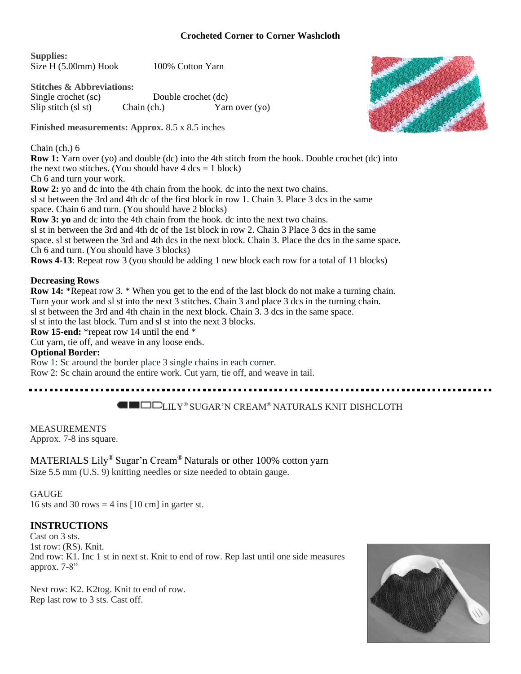#### **Crocheted Corner to Corner Washcloth**

**Supplies:** Size H (5.00mm) Hook 100% Cotton Yarn

**Stitches & Abbreviations:** Single crochet (sc) Double crochet (dc) Slip stitch (sl st) Chain (ch.) Yarn over (yo)

**Finished measurements: Approx.** 8.5 x 8.5 inches

#### Chain (ch.) 6

**Row 1:** Yarn over (yo) and double (dc) into the 4th stitch from the hook. Double crochet (dc) into the next two stitches. (You should have  $4 \text{ dcs} = 1 \text{ block}$ ) Ch 6 and turn your work. **Row 2:** yo and dc into the 4th chain from the hook. dc into the next two chains. sl st between the 3rd and 4th dc of the first block in row 1. Chain 3. Place 3 dcs in the same

space. Chain 6 and turn. (You should have 2 blocks)

**Row 3: yo** and dc into the 4th chain from the hook. dc into the next two chains.

sl st in between the 3rd and 4th dc of the 1st block in row 2. Chain 3 Place 3 dcs in the same

space. sl st between the 3rd and 4th dcs in the next block. Chain 3. Place the dcs in the same space. Ch 6 and turn. (You should have 3 blocks)

**Rows 4-13**: Repeat row 3 (you should be adding 1 new block each row for a total of 11 blocks)

### **Decreasing Rows**

**Row 14:** \*Repeat row 3. \* When you get to the end of the last block do not make a turning chain. Turn your work and sl st into the next 3 stitches. Chain 3 and place 3 dcs in the turning chain. sl st between the 3rd and 4th chain in the next block. Chain 3. 3 dcs in the same space. sl st into the last block. Turn and sl st into the next 3 blocks. **Row 15-end:** \*repeat row 14 until the end \* Cut yarn, tie off, and weave in any loose ends. **Optional Border:** Row 1: Sc around the border place 3 single chains in each corner.

Row 2: Sc chain around the entire work. Cut yarn, tie off, and weave in tail.

. . . . . . . . . . . . . . .

# **LILY®** SUGAR'N CREAM® NATURALS KNIT DISHCLOTH

MEASUREMENTS Approx. 7-8 ins square.

MATERIALS Lily® Sugar'n Cream® Naturals or other 100% cotton yarn Size 5.5 mm (U.S. 9) knitting needles or size needed to obtain gauge.

### **GAUGE**

16 sts and 30 rows  $=$  4 ins [10 cm] in garter st.

# **INSTRUCTIONS**

Cast on 3 sts. 1st row: (RS). Knit. 2nd row: K1. Inc 1 st in next st. Knit to end of row. Rep last until one side measures approx. 7-8"

Next row: K2. K2tog. Knit to end of row. Rep last row to 3 sts. Cast off.



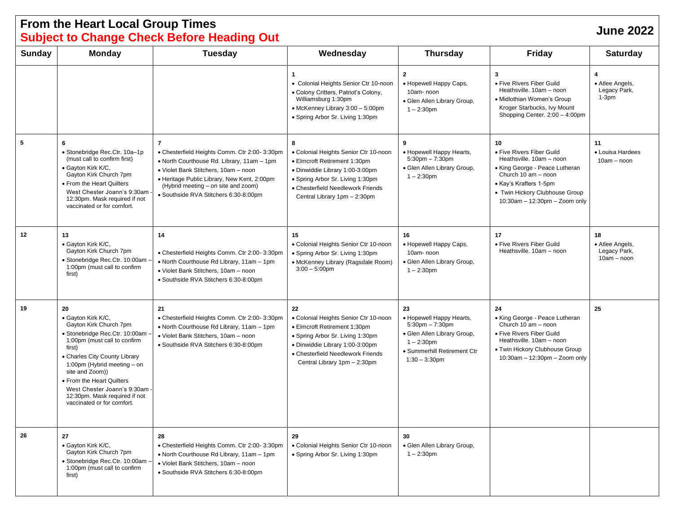# **From the Heart Local Group Times Subject to Change Check Before Heading Out June <sup>2022</sup>**

| Sunday | <b>Monday</b>                                                                                                                                                                                                                                                                                                                                  | <b>Tuesday</b>                                                                                                                                                                                                                                                                       | Wednesday                                                                                                                                                                                                               | <b>Thursday</b>                                                                                                                                           | <b>Friday</b>                                                                                                                                                                                                        | <b>Saturday</b>                                        |
|--------|------------------------------------------------------------------------------------------------------------------------------------------------------------------------------------------------------------------------------------------------------------------------------------------------------------------------------------------------|--------------------------------------------------------------------------------------------------------------------------------------------------------------------------------------------------------------------------------------------------------------------------------------|-------------------------------------------------------------------------------------------------------------------------------------------------------------------------------------------------------------------------|-----------------------------------------------------------------------------------------------------------------------------------------------------------|----------------------------------------------------------------------------------------------------------------------------------------------------------------------------------------------------------------------|--------------------------------------------------------|
|        |                                                                                                                                                                                                                                                                                                                                                |                                                                                                                                                                                                                                                                                      | $\mathbf{1}$<br>• Colonial Heights Senior Ctr 10-noon<br>• Colony Critters, Patriot's Colony,<br>Williamsburg 1:30pm<br>• McKenney Library 3:00 - 5:00pm<br>• Spring Arbor Sr. Living 1:30pm                            | $\mathbf{2}$<br>• Hopewell Happy Caps,<br>10am-noon<br>· Glen Allen Library Group,<br>$1 - 2:30$ pm                                                       | 3<br>• Five Rivers Fiber Guild<br>Heathsville. 10am - noon<br>• Midlothian Women's Group<br>Kroger Starbucks, Ivy Mount<br>Shopping Center. 2:00 - 4:00pm                                                            | 4<br>• Atlee Angels,<br>Legacy Park,<br>$1-3pm$        |
| 5      | 6<br>• Stonebridge Rec.Ctr. 10a-1p<br>(must call to confirm first)<br>· Gayton Kirk K/C,<br>Gayton Kirk Church 7pm<br>• From the Heart Quilters<br>West Chester Joann's 9:30am<br>12:30pm. Mask required if not<br>vaccinated or for comfort.                                                                                                  | $\overline{7}$<br>• Chesterfield Heights Comm. Ctr 2:00- 3:30pm<br>• North Courthouse Rd. Library, 11am - 1pm<br>• Violet Bank Stitchers, 10am - noon<br>• Heritage Public Library, New Kent, 2:00pm<br>(Hybrid meeting - on site and zoom)<br>· Southside RVA Stitchers 6:30-8:00pm | 8<br>• Colonial Heights Senior Ctr 10-noon<br>• Elmcroft Retirement 1:30pm<br>· Dinwiddie Library 1:00-3:00pm<br>• Spring Arbor Sr. Living 1:30pm<br>• Chesterfield Needlework Friends<br>Central Library 1pm - 2:30pm  | 9<br>• Hopewell Happy Hearts,<br>$5:30$ pm $-7:30$ pm<br>· Glen Allen Library Group,<br>$1 - 2:30$ pm                                                     | 10<br>• Five Rivers Fiber Guild<br>Heathsville. 10am - noon<br>• King George - Peace Lutheran<br>Church 10 am - noon<br>• Kay's Krafters 1-5pm<br>• Twin Hickory Clubhouse Group<br>$10:30$ am - 12:30pm - Zoom only | 11<br>• Louisa Hardees<br>$10am - noon$                |
| 12     | 13<br>· Gayton Kirk K/C,<br>Gayton Kirk Church 7pm<br>• Stonebridge Rec.Ctr. 10:00am<br>1:00pm (must call to confirm<br>first)                                                                                                                                                                                                                 | 14<br>• Chesterfield Heights Comm. Ctr 2:00- 3:30pm<br>. North Courthouse Rd Library, 11am - 1pm<br>• Violet Bank Stitchers, 10am - noon<br>· Southside RVA Stitchers 6:30-8:00pm                                                                                                    | 15<br>• Colonial Heights Senior Ctr 10-noon<br>• Spring Arbor Sr. Living 1:30pm<br>• McKenney Library (Ragsdale Room)<br>$3:00 - 5:00$ pm                                                                               | 16<br>• Hopewell Happy Caps,<br>10am-noon<br>· Glen Allen Library Group,<br>$1 - 2:30$ pm                                                                 | 17<br>• Five Rivers Fiber Guild<br>Heathsville. 10am - noon                                                                                                                                                          | 18<br>• Atlee Angels,<br>Legacy Park,<br>$10am - noon$ |
| 19     | 20<br>• Gayton Kirk K/C,<br>Gayton Kirk Church 7pm<br>· Stonebridge Rec.Ctr. 10:00am ·<br>1:00pm (must call to confirm<br>first)<br>• Charles City County Library<br>1:00pm (Hybrid meeting - on<br>site and Zoom))<br>• From the Heart Quilters<br>West Chester Joann's 9:30am<br>12:30pm. Mask required if not<br>vaccinated or for comfort. | 21<br>• Chesterfield Heights Comm. Ctr 2:00- 3:30pm<br>• North Courthouse Rd Library, 11am - 1pm<br>· Violet Bank Stitchers, 10am - noon<br>· Southside RVA Stitchers 6:30-8:00pm                                                                                                    | 22<br>• Colonial Heights Senior Ctr 10-noon<br>• Elmcroft Retirement 1:30pm<br>• Spring Arbor Sr. Living 1:30pm<br>· Dinwiddie Library 1:00-3:00pm<br>• Chesterfield Needlework Friends<br>Central Library 1pm - 2:30pm | 23<br>• Hopewell Happy Hearts,<br>$5:30$ pm $-7:30$ pm<br>· Glen Allen Library Group,<br>$1 - 2:30$ pm<br>• Summerhill Retirement Ctr<br>$1:30 - 3:30$ pm | 24<br>• King George - Peace Lutheran<br>Church 10 am - noon<br>• Five Rivers Fiber Guild<br>Heathsville. 10am - noon<br>• Twin Hickory Clubhouse Group<br>$10:30$ am - 12:30pm - Zoom only                           | 25                                                     |
| 26     | 27<br>· Gayton Kirk K/C,<br>Gayton Kirk Church 7pm<br>· Stonebridge Rec.Ctr. 10:00am -<br>1:00pm (must call to confirm<br>first)                                                                                                                                                                                                               | 28<br>• Chesterfield Heights Comm. Ctr 2:00- 3:30pm<br>• North Courthouse Rd Library, 11am - 1pm<br>· Violet Bank Stitchers, 10am - noon<br>· Southside RVA Stitchers 6:30-8:00pm                                                                                                    | 29<br>• Colonial Heights Senior Ctr 10-noon<br>• Spring Arbor Sr. Living 1:30pm                                                                                                                                         | 30<br>• Glen Allen Library Group,<br>$1 - 2:30$ pm                                                                                                        |                                                                                                                                                                                                                      |                                                        |